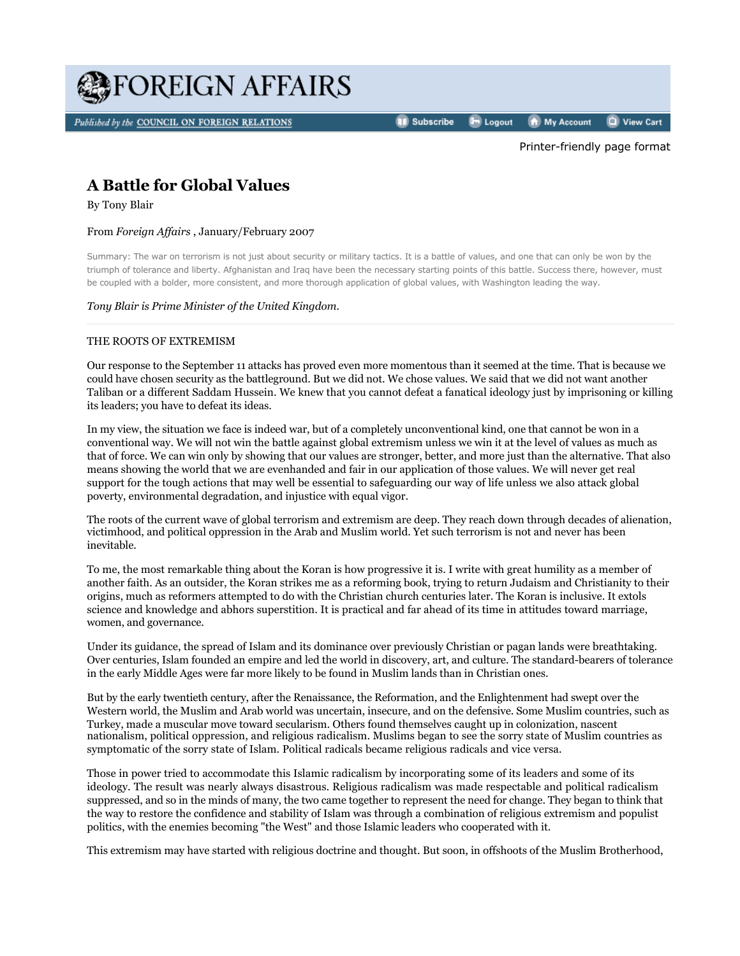

Printer-friendly page format

# **A Battle for Global Values**

By Tony Blair

#### From *Foreign Affairs* , January/February 2007

Summary: The war on terrorism is not just about security or military tactics. It is a battle of values, and one that can only be won by the triumph of tolerance and liberty. Afghanistan and Iraq have been the necessary starting points of this battle. Success there, however, must be coupled with a bolder, more consistent, and more thorough application of global values, with Washington leading the way.

#### *Tony Blair is Prime Minister of the United Kingdom.*

#### THE ROOTS OF EXTREMISM

Our response to the September 11 attacks has proved even more momentous than it seemed at the time. That is because we could have chosen security as the battleground. But we did not. We chose values. We said that we did not want another Taliban or a different Saddam Hussein. We knew that you cannot defeat a fanatical ideology just by imprisoning or killing its leaders; you have to defeat its ideas.

In my view, the situation we face is indeed war, but of a completely unconventional kind, one that cannot be won in a conventional way. We will not win the battle against global extremism unless we win it at the level of values as much as that of force. We can win only by showing that our values are stronger, better, and more just than the alternative. That also means showing the world that we are evenhanded and fair in our application of those values. We will never get real support for the tough actions that may well be essential to safeguarding our way of life unless we also attack global poverty, environmental degradation, and injustice with equal vigor.

The roots of the current wave of global terrorism and extremism are deep. They reach down through decades of alienation, victimhood, and political oppression in the Arab and Muslim world. Yet such terrorism is not and never has been inevitable.

To me, the most remarkable thing about the Koran is how progressive it is. I write with great humility as a member of another faith. As an outsider, the Koran strikes me as a reforming book, trying to return Judaism and Christianity to their origins, much as reformers attempted to do with the Christian church centuries later. The Koran is inclusive. It extols science and knowledge and abhors superstition. It is practical and far ahead of its time in attitudes toward marriage, women, and governance.

Under its guidance, the spread of Islam and its dominance over previously Christian or pagan lands were breathtaking. Over centuries, Islam founded an empire and led the world in discovery, art, and culture. The standard-bearers of tolerance in the early Middle Ages were far more likely to be found in Muslim lands than in Christian ones.

But by the early twentieth century, after the Renaissance, the Reformation, and the Enlightenment had swept over the Western world, the Muslim and Arab world was uncertain, insecure, and on the defensive. Some Muslim countries, such as Turkey, made a muscular move toward secularism. Others found themselves caught up in colonization, nascent nationalism, political oppression, and religious radicalism. Muslims began to see the sorry state of Muslim countries as symptomatic of the sorry state of Islam. Political radicals became religious radicals and vice versa.

Those in power tried to accommodate this Islamic radicalism by incorporating some of its leaders and some of its ideology. The result was nearly always disastrous. Religious radicalism was made respectable and political radicalism suppressed, and so in the minds of many, the two came together to represent the need for change. They began to think that the way to restore the confidence and stability of Islam was through a combination of religious extremism and populist politics, with the enemies becoming "the West" and those Islamic leaders who cooperated with it.

This extremism may have started with religious doctrine and thought. But soon, in offshoots of the Muslim Brotherhood,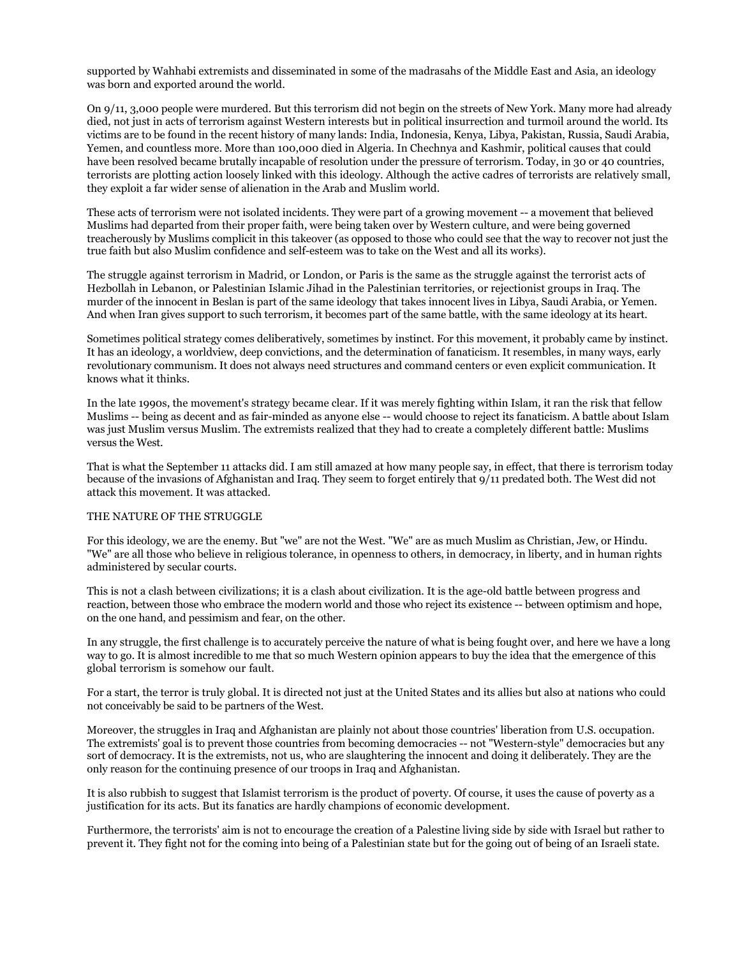supported by Wahhabi extremists and disseminated in some of the madrasahs of the Middle East and Asia, an ideology was born and exported around the world.

On 9/11, 3,000 people were murdered. But this terrorism did not begin on the streets of New York. Many more had already died, not just in acts of terrorism against Western interests but in political insurrection and turmoil around the world. Its victims are to be found in the recent history of many lands: India, Indonesia, Kenya, Libya, Pakistan, Russia, Saudi Arabia, Yemen, and countless more. More than 100,000 died in Algeria. In Chechnya and Kashmir, political causes that could have been resolved became brutally incapable of resolution under the pressure of terrorism. Today, in 30 or 40 countries, terrorists are plotting action loosely linked with this ideology. Although the active cadres of terrorists are relatively small, they exploit a far wider sense of alienation in the Arab and Muslim world.

These acts of terrorism were not isolated incidents. They were part of a growing movement -- a movement that believed Muslims had departed from their proper faith, were being taken over by Western culture, and were being governed treacherously by Muslims complicit in this takeover (as opposed to those who could see that the way to recover not just the true faith but also Muslim confidence and self-esteem was to take on the West and all its works).

The struggle against terrorism in Madrid, or London, or Paris is the same as the struggle against the terrorist acts of Hezbollah in Lebanon, or Palestinian Islamic Jihad in the Palestinian territories, or rejectionist groups in Iraq. The murder of the innocent in Beslan is part of the same ideology that takes innocent lives in Libya, Saudi Arabia, or Yemen. And when Iran gives support to such terrorism, it becomes part of the same battle, with the same ideology at its heart.

Sometimes political strategy comes deliberatively, sometimes by instinct. For this movement, it probably came by instinct. It has an ideology, a worldview, deep convictions, and the determination of fanaticism. It resembles, in many ways, early revolutionary communism. It does not always need structures and command centers or even explicit communication. It knows what it thinks.

In the late 1990s, the movement's strategy became clear. If it was merely fighting within Islam, it ran the risk that fellow Muslims -- being as decent and as fair-minded as anyone else -- would choose to reject its fanaticism. A battle about Islam was just Muslim versus Muslim. The extremists realized that they had to create a completely different battle: Muslims versus the West.

That is what the September 11 attacks did. I am still amazed at how many people say, in effect, that there is terrorism today because of the invasions of Afghanistan and Iraq. They seem to forget entirely that 9/11 predated both. The West did not attack this movement. It was attacked.

# THE NATURE OF THE STRUGGLE

For this ideology, we are the enemy. But "we" are not the West. "We" are as much Muslim as Christian, Jew, or Hindu. "We" are all those who believe in religious tolerance, in openness to others, in democracy, in liberty, and in human rights administered by secular courts.

This is not a clash between civilizations; it is a clash about civilization. It is the age-old battle between progress and reaction, between those who embrace the modern world and those who reject its existence -- between optimism and hope, on the one hand, and pessimism and fear, on the other.

In any struggle, the first challenge is to accurately perceive the nature of what is being fought over, and here we have a long way to go. It is almost incredible to me that so much Western opinion appears to buy the idea that the emergence of this global terrorism is somehow our fault.

For a start, the terror is truly global. It is directed not just at the United States and its allies but also at nations who could not conceivably be said to be partners of the West.

Moreover, the struggles in Iraq and Afghanistan are plainly not about those countries' liberation from U.S. occupation. The extremists' goal is to prevent those countries from becoming democracies -- not "Western-style" democracies but any sort of democracy. It is the extremists, not us, who are slaughtering the innocent and doing it deliberately. They are the only reason for the continuing presence of our troops in Iraq and Afghanistan.

It is also rubbish to suggest that Islamist terrorism is the product of poverty. Of course, it uses the cause of poverty as a justification for its acts. But its fanatics are hardly champions of economic development.

Furthermore, the terrorists' aim is not to encourage the creation of a Palestine living side by side with Israel but rather to prevent it. They fight not for the coming into being of a Palestinian state but for the going out of being of an Israeli state.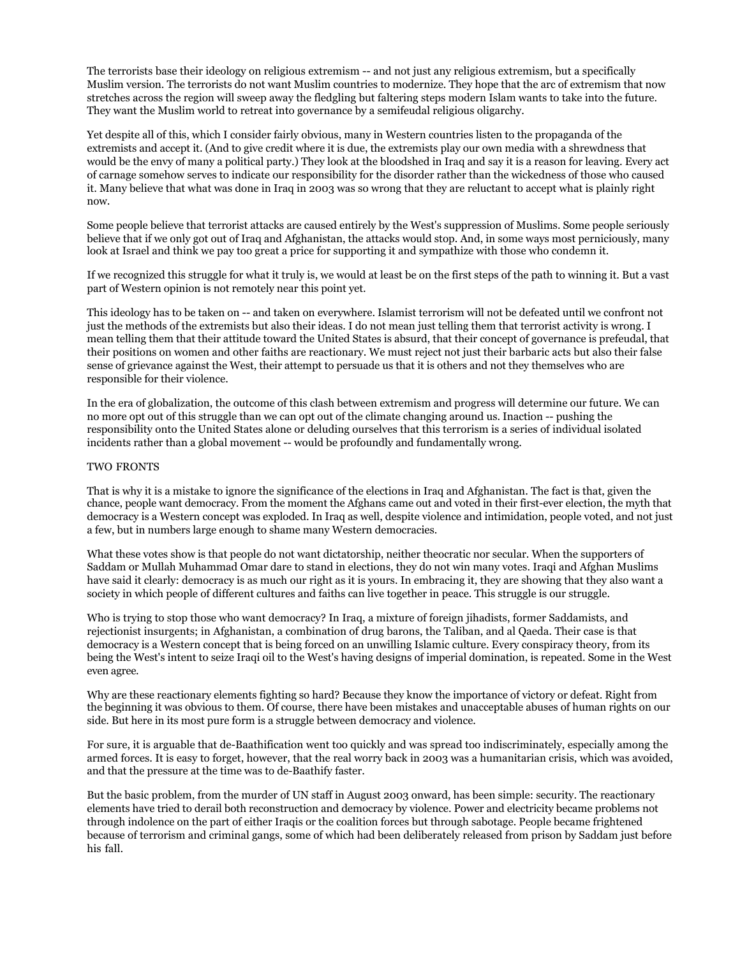The terrorists base their ideology on religious extremism -- and not just any religious extremism, but a specifically Muslim version. The terrorists do not want Muslim countries to modernize. They hope that the arc of extremism that now stretches across the region will sweep away the fledgling but faltering steps modern Islam wants to take into the future. They want the Muslim world to retreat into governance by a semifeudal religious oligarchy.

Yet despite all of this, which I consider fairly obvious, many in Western countries listen to the propaganda of the extremists and accept it. (And to give credit where it is due, the extremists play our own media with a shrewdness that would be the envy of many a political party.) They look at the bloodshed in Iraq and say it is a reason for leaving. Every act of carnage somehow serves to indicate our responsibility for the disorder rather than the wickedness of those who caused it. Many believe that what was done in Iraq in 2003 was so wrong that they are reluctant to accept what is plainly right now.

Some people believe that terrorist attacks are caused entirely by the West's suppression of Muslims. Some people seriously believe that if we only got out of Iraq and Afghanistan, the attacks would stop. And, in some ways most perniciously, many look at Israel and think we pay too great a price for supporting it and sympathize with those who condemn it.

If we recognized this struggle for what it truly is, we would at least be on the first steps of the path to winning it. But a vast part of Western opinion is not remotely near this point yet.

This ideology has to be taken on -- and taken on everywhere. Islamist terrorism will not be defeated until we confront not just the methods of the extremists but also their ideas. I do not mean just telling them that terrorist activity is wrong. I mean telling them that their attitude toward the United States is absurd, that their concept of governance is prefeudal, that their positions on women and other faiths are reactionary. We must reject not just their barbaric acts but also their false sense of grievance against the West, their attempt to persuade us that it is others and not they themselves who are responsible for their violence.

In the era of globalization, the outcome of this clash between extremism and progress will determine our future. We can no more opt out of this struggle than we can opt out of the climate changing around us. Inaction -- pushing the responsibility onto the United States alone or deluding ourselves that this terrorism is a series of individual isolated incidents rather than a global movement -- would be profoundly and fundamentally wrong.

### TWO FRONTS

That is why it is a mistake to ignore the significance of the elections in Iraq and Afghanistan. The fact is that, given the chance, people want democracy. From the moment the Afghans came out and voted in their first-ever election, the myth that democracy is a Western concept was exploded. In Iraq as well, despite violence and intimidation, people voted, and not just a few, but in numbers large enough to shame many Western democracies.

What these votes show is that people do not want dictatorship, neither theocratic nor secular. When the supporters of Saddam or Mullah Muhammad Omar dare to stand in elections, they do not win many votes. Iraqi and Afghan Muslims have said it clearly: democracy is as much our right as it is yours. In embracing it, they are showing that they also want a society in which people of different cultures and faiths can live together in peace. This struggle is our struggle.

Who is trying to stop those who want democracy? In Iraq, a mixture of foreign jihadists, former Saddamists, and rejectionist insurgents; in Afghanistan, a combination of drug barons, the Taliban, and al Qaeda. Their case is that democracy is a Western concept that is being forced on an unwilling Islamic culture. Every conspiracy theory, from its being the West's intent to seize Iraqi oil to the West's having designs of imperial domination, is repeated. Some in the West even agree.

Why are these reactionary elements fighting so hard? Because they know the importance of victory or defeat. Right from the beginning it was obvious to them. Of course, there have been mistakes and unacceptable abuses of human rights on our side. But here in its most pure form is a struggle between democracy and violence.

For sure, it is arguable that de-Baathification went too quickly and was spread too indiscriminately, especially among the armed forces. It is easy to forget, however, that the real worry back in 2003 was a humanitarian crisis, which was avoided, and that the pressure at the time was to de-Baathify faster.

But the basic problem, from the murder of UN staff in August 2003 onward, has been simple: security. The reactionary elements have tried to derail both reconstruction and democracy by violence. Power and electricity became problems not through indolence on the part of either Iraqis or the coalition forces but through sabotage. People became frightened because of terrorism and criminal gangs, some of which had been deliberately released from prison by Saddam just before his fall.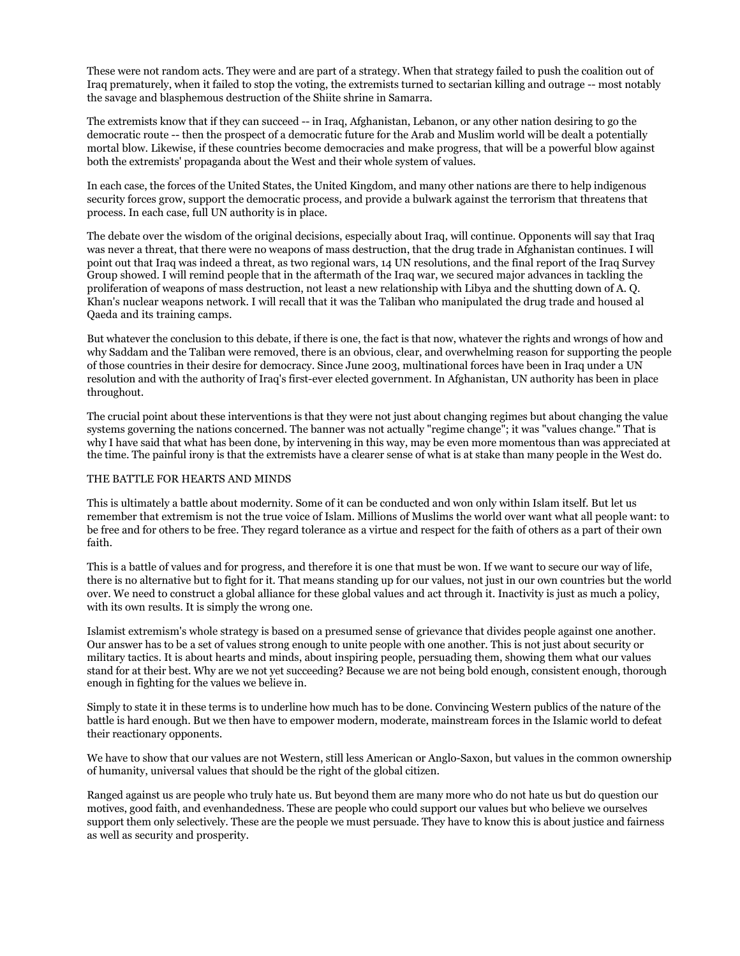These were not random acts. They were and are part of a strategy. When that strategy failed to push the coalition out of Iraq prematurely, when it failed to stop the voting, the extremists turned to sectarian killing and outrage -- most notably the savage and blasphemous destruction of the Shiite shrine in Samarra.

The extremists know that if they can succeed -- in Iraq, Afghanistan, Lebanon, or any other nation desiring to go the democratic route -- then the prospect of a democratic future for the Arab and Muslim world will be dealt a potentially mortal blow. Likewise, if these countries become democracies and make progress, that will be a powerful blow against both the extremists' propaganda about the West and their whole system of values.

In each case, the forces of the United States, the United Kingdom, and many other nations are there to help indigenous security forces grow, support the democratic process, and provide a bulwark against the terrorism that threatens that process. In each case, full UN authority is in place.

The debate over the wisdom of the original decisions, especially about Iraq, will continue. Opponents will say that Iraq was never a threat, that there were no weapons of mass destruction, that the drug trade in Afghanistan continues. I will point out that Iraq was indeed a threat, as two regional wars, 14 UN resolutions, and the final report of the Iraq Survey Group showed. I will remind people that in the aftermath of the Iraq war, we secured major advances in tackling the proliferation of weapons of mass destruction, not least a new relationship with Libya and the shutting down of A. Q. Khan's nuclear weapons network. I will recall that it was the Taliban who manipulated the drug trade and housed al Qaeda and its training camps.

But whatever the conclusion to this debate, if there is one, the fact is that now, whatever the rights and wrongs of how and why Saddam and the Taliban were removed, there is an obvious, clear, and overwhelming reason for supporting the people of those countries in their desire for democracy. Since June 2003, multinational forces have been in Iraq under a UN resolution and with the authority of Iraq's first-ever elected government. In Afghanistan, UN authority has been in place throughout.

The crucial point about these interventions is that they were not just about changing regimes but about changing the value systems governing the nations concerned. The banner was not actually "regime change"; it was "values change." That is why I have said that what has been done, by intervening in this way, may be even more momentous than was appreciated at the time. The painful irony is that the extremists have a clearer sense of what is at stake than many people in the West do.

## THE BATTLE FOR HEARTS AND MINDS

This is ultimately a battle about modernity. Some of it can be conducted and won only within Islam itself. But let us remember that extremism is not the true voice of Islam. Millions of Muslims the world over want what all people want: to be free and for others to be free. They regard tolerance as a virtue and respect for the faith of others as a part of their own faith.

This is a battle of values and for progress, and therefore it is one that must be won. If we want to secure our way of life, there is no alternative but to fight for it. That means standing up for our values, not just in our own countries but the world over. We need to construct a global alliance for these global values and act through it. Inactivity is just as much a policy, with its own results. It is simply the wrong one.

Islamist extremism's whole strategy is based on a presumed sense of grievance that divides people against one another. Our answer has to be a set of values strong enough to unite people with one another. This is not just about security or military tactics. It is about hearts and minds, about inspiring people, persuading them, showing them what our values stand for at their best. Why are we not yet succeeding? Because we are not being bold enough, consistent enough, thorough enough in fighting for the values we believe in.

Simply to state it in these terms is to underline how much has to be done. Convincing Western publics of the nature of the battle is hard enough. But we then have to empower modern, moderate, mainstream forces in the Islamic world to defeat their reactionary opponents.

We have to show that our values are not Western, still less American or Anglo-Saxon, but values in the common ownership of humanity, universal values that should be the right of the global citizen.

Ranged against us are people who truly hate us. But beyond them are many more who do not hate us but do question our motives, good faith, and evenhandedness. These are people who could support our values but who believe we ourselves support them only selectively. These are the people we must persuade. They have to know this is about justice and fairness as well as security and prosperity.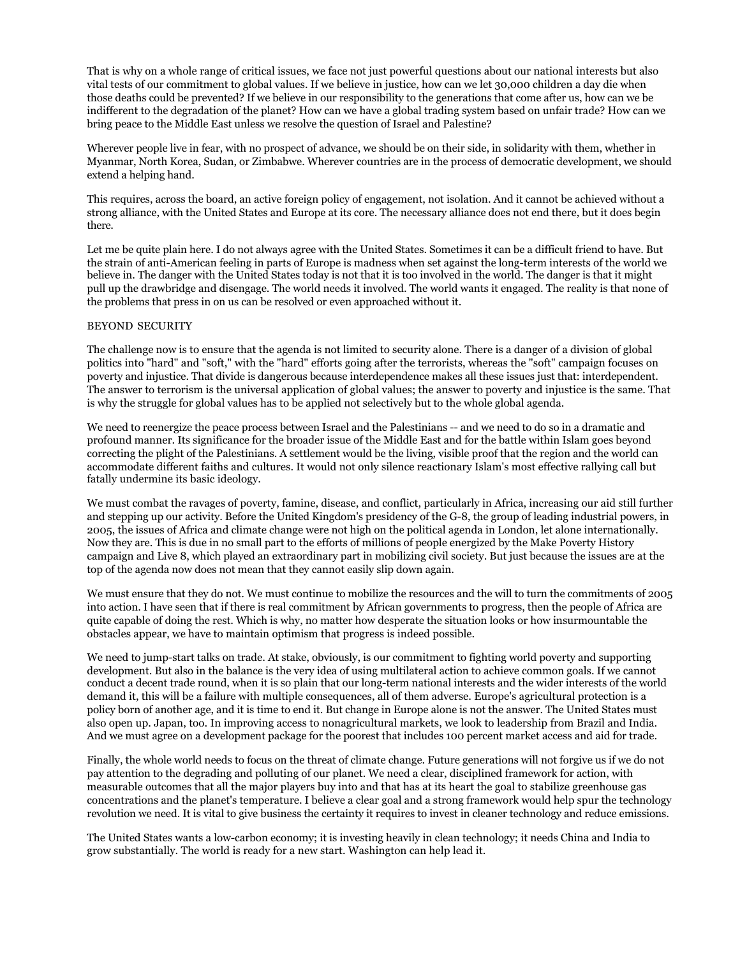That is why on a whole range of critical issues, we face not just powerful questions about our national interests but also vital tests of our commitment to global values. If we believe in justice, how can we let 30,000 children a day die when those deaths could be prevented? If we believe in our responsibility to the generations that come after us, how can we be indifferent to the degradation of the planet? How can we have a global trading system based on unfair trade? How can we bring peace to the Middle East unless we resolve the question of Israel and Palestine?

Wherever people live in fear, with no prospect of advance, we should be on their side, in solidarity with them, whether in Myanmar, North Korea, Sudan, or Zimbabwe. Wherever countries are in the process of democratic development, we should extend a helping hand.

This requires, across the board, an active foreign policy of engagement, not isolation. And it cannot be achieved without a strong alliance, with the United States and Europe at its core. The necessary alliance does not end there, but it does begin there.

Let me be quite plain here. I do not always agree with the United States. Sometimes it can be a difficult friend to have. But the strain of anti-American feeling in parts of Europe is madness when set against the long-term interests of the world we believe in. The danger with the United States today is not that it is too involved in the world. The danger is that it might pull up the drawbridge and disengage. The world needs it involved. The world wants it engaged. The reality is that none of the problems that press in on us can be resolved or even approached without it.

# BEYOND SECURITY

The challenge now is to ensure that the agenda is not limited to security alone. There is a danger of a division of global politics into "hard" and "soft," with the "hard" efforts going after the terrorists, whereas the "soft" campaign focuses on poverty and injustice. That divide is dangerous because interdependence makes all these issues just that: interdependent. The answer to terrorism is the universal application of global values; the answer to poverty and injustice is the same. That is why the struggle for global values has to be applied not selectively but to the whole global agenda.

We need to reenergize the peace process between Israel and the Palestinians -- and we need to do so in a dramatic and profound manner. Its significance for the broader issue of the Middle East and for the battle within Islam goes beyond correcting the plight of the Palestinians. A settlement would be the living, visible proof that the region and the world can accommodate different faiths and cultures. It would not only silence reactionary Islam's most effective rallying call but fatally undermine its basic ideology.

We must combat the ravages of poverty, famine, disease, and conflict, particularly in Africa, increasing our aid still further and stepping up our activity. Before the United Kingdom's presidency of the G-8, the group of leading industrial powers, in 2005, the issues of Africa and climate change were not high on the political agenda in London, let alone internationally. Now they are. This is due in no small part to the efforts of millions of people energized by the Make Poverty History campaign and Live 8, which played an extraordinary part in mobilizing civil society. But just because the issues are at the top of the agenda now does not mean that they cannot easily slip down again.

We must ensure that they do not. We must continue to mobilize the resources and the will to turn the commitments of 2005 into action. I have seen that if there is real commitment by African governments to progress, then the people of Africa are quite capable of doing the rest. Which is why, no matter how desperate the situation looks or how insurmountable the obstacles appear, we have to maintain optimism that progress is indeed possible.

We need to jump-start talks on trade. At stake, obviously, is our commitment to fighting world poverty and supporting development. But also in the balance is the very idea of using multilateral action to achieve common goals. If we cannot conduct a decent trade round, when it is so plain that our long-term national interests and the wider interests of the world demand it, this will be a failure with multiple consequences, all of them adverse. Europe's agricultural protection is a policy born of another age, and it is time to end it. But change in Europe alone is not the answer. The United States must also open up. Japan, too. In improving access to nonagricultural markets, we look to leadership from Brazil and India. And we must agree on a development package for the poorest that includes 100 percent market access and aid for trade.

Finally, the whole world needs to focus on the threat of climate change. Future generations will not forgive us if we do not pay attention to the degrading and polluting of our planet. We need a clear, disciplined framework for action, with measurable outcomes that all the major players buy into and that has at its heart the goal to stabilize greenhouse gas concentrations and the planet's temperature. I believe a clear goal and a strong framework would help spur the technology revolution we need. It is vital to give business the certainty it requires to invest in cleaner technology and reduce emissions.

The United States wants a low-carbon economy; it is investing heavily in clean technology; it needs China and India to grow substantially. The world is ready for a new start. Washington can help lead it.